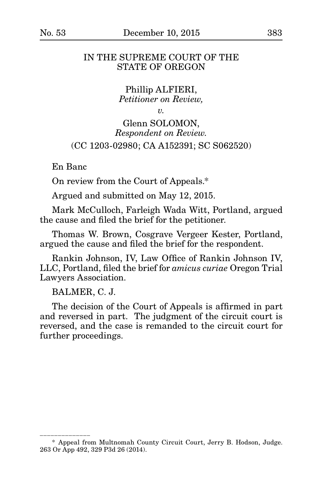## IN THE SUPREME COURT OF THE STATE OF OREGON

Phillip ALFIERI, *Petitioner on Review,*

*v.*

# Glenn SOLOMON, *Respondent on Review.* (CC 1203-02980; CA A152391; SC S062520)

En Banc

On review from the Court of Appeals.\*

Argued and submitted on May 12, 2015.

Mark McCulloch, Farleigh Wada Witt, Portland, argued the cause and filed the brief for the petitioner.

Thomas W. Brown, Cosgrave Vergeer Kester, Portland, argued the cause and filed the brief for the respondent.

Rankin Johnson, IV, Law Office of Rankin Johnson IV, LLC, Portland, filed the brief for *amicus curiae* Oregon Trial Lawyers Association.

BALMER, C. J.

\_\_\_\_\_\_\_\_\_\_\_\_\_\_\_\_\_\_

The decision of the Court of Appeals is affirmed in part and reversed in part. The judgment of the circuit court is reversed, and the case is remanded to the circuit court for further proceedings.

<sup>\*</sup> Appeal from Multnomah County Circuit Court, Jerry B. Hodson, Judge. 263 Or App 492, 329 P3d 26 (2014).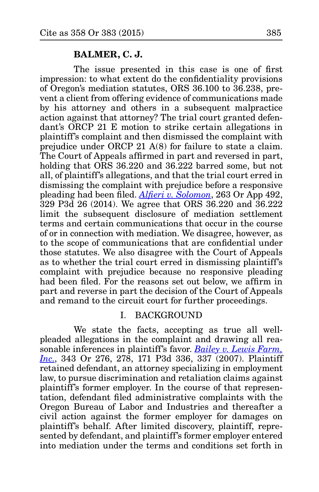#### **BALMER, C. J.**

The issue presented in this case is one of first impression: to what extent do the confidentiality provisions of Oregon's mediation statutes, ORS 36.100 to 36.238, prevent a client from offering evidence of communications made by his attorney and others in a subsequent malpractice action against that attorney? The trial court granted defendant's ORCP 21 E motion to strike certain allegations in plaintiff's complaint and then dismissed the complaint with prejudice under ORCP 21 A(8) for failure to state a claim. The Court of Appeals affirmed in part and reversed in part, holding that ORS 36.220 and 36.222 barred some, but not all, of plaintiff's allegations, and that the trial court erred in dismissing the complaint with prejudice before a responsive pleading had been filed. *[Alfieri v. Solomon](http://www.publications.ojd.state.or.us/docs/A152391.pdf)*, 263 Or App 492, 329 P3d 26 (2014). We agree that ORS 36.220 and 36.222 limit the subsequent disclosure of mediation settlement terms and certain communications that occur in the course of or in connection with mediation. We disagree, however, as to the scope of communications that are confidential under those statutes. We also disagree with the Court of Appeals as to whether the trial court erred in dismissing plaintiff's complaint with prejudice because no responsive pleading had been filed. For the reasons set out below, we affirm in part and reverse in part the decision of the Court of Appeals and remand to the circuit court for further proceedings.

## I. BACKGROUND

We state the facts, accepting as true all wellpleaded allegations in the complaint and drawing all reasonable inferences in plaintiff's favor. *[Bailey v. Lewis Farm,](http://www.publications.ojd.state.or.us/docs/S53916.htm)  [Inc.](http://www.publications.ojd.state.or.us/docs/S53916.htm)*, 343 Or 276, 278, 171 P3d 336, 337 (2007). Plaintiff retained defendant, an attorney specializing in employment law, to pursue discrimination and retaliation claims against plaintiff's former employer. In the course of that representation, defendant filed administrative complaints with the Oregon Bureau of Labor and Industries and thereafter a civil action against the former employer for damages on plaintiff's behalf. After limited discovery, plaintiff, represented by defendant, and plaintiff's former employer entered into mediation under the terms and conditions set forth in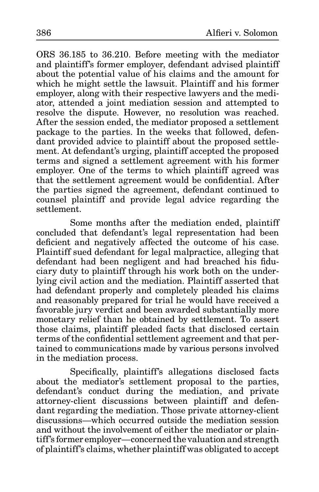ORS 36.185 to 36.210. Before meeting with the mediator and plaintiff's former employer, defendant advised plaintiff about the potential value of his claims and the amount for which he might settle the lawsuit. Plaintiff and his former employer, along with their respective lawyers and the mediator, attended a joint mediation session and attempted to resolve the dispute. However, no resolution was reached. After the session ended, the mediator proposed a settlement package to the parties. In the weeks that followed, defendant provided advice to plaintiff about the proposed settlement. At defendant's urging, plaintiff accepted the proposed terms and signed a settlement agreement with his former employer. One of the terms to which plaintiff agreed was that the settlement agreement would be confidential. After the parties signed the agreement, defendant continued to counsel plaintiff and provide legal advice regarding the settlement.

Some months after the mediation ended, plaintiff concluded that defendant's legal representation had been deficient and negatively affected the outcome of his case. Plaintiff sued defendant for legal malpractice, alleging that defendant had been negligent and had breached his fiduciary duty to plaintiff through his work both on the underlying civil action and the mediation. Plaintiff asserted that had defendant properly and completely pleaded his claims and reasonably prepared for trial he would have received a favorable jury verdict and been awarded substantially more monetary relief than he obtained by settlement. To assert those claims, plaintiff pleaded facts that disclosed certain terms of the confidential settlement agreement and that pertained to communications made by various persons involved in the mediation process.

Specifically, plaintiff's allegations disclosed facts about the mediator's settlement proposal to the parties, defendant's conduct during the mediation, and private attorney-client discussions between plaintiff and defendant regarding the mediation. Those private attorney-client discussions—which occurred outside the mediation session and without the involvement of either the mediator or plaintiff's former employer—concerned the valuation and strength of plaintiff's claims, whether plaintiff was obligated to accept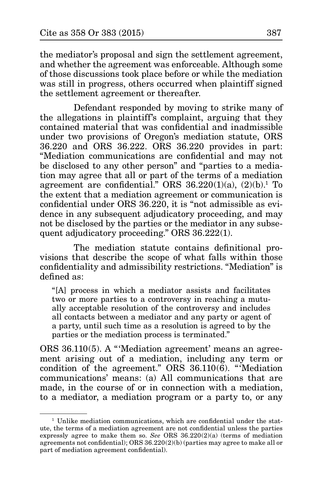the mediator's proposal and sign the settlement agreement, and whether the agreement was enforceable. Although some of those discussions took place before or while the mediation was still in progress, others occurred when plaintiff signed the settlement agreement or thereafter.

Defendant responded by moving to strike many of the allegations in plaintiff's complaint, arguing that they contained material that was confidential and inadmissible under two provisions of Oregon's mediation statute, ORS 36.220 and ORS 36.222. ORS 36.220 provides in part: "Mediation communications are confidential and may not be disclosed to any other person" and "parties to a mediation may agree that all or part of the terms of a mediation agreement are confidential." ORS 36.220(1)(a), (2)(b).1 To the extent that a mediation agreement or communication is confidential under ORS 36.220, it is "not admissible as evidence in any subsequent adjudicatory proceeding, and may not be disclosed by the parties or the mediator in any subsequent adjudicatory proceeding." ORS 36.222(1).

The mediation statute contains definitional provisions that describe the scope of what falls within those confidentiality and admissibility restrictions. "Mediation" is defined as:

"[A] process in which a mediator assists and facilitates two or more parties to a controversy in reaching a mutually acceptable resolution of the controversy and includes all contacts between a mediator and any party or agent of a party, until such time as a resolution is agreed to by the parties or the mediation process is terminated."

ORS 36.110(5). A "'Mediation agreement' means an agreement arising out of a mediation, including any term or condition of the agreement." ORS 36.110(6). "'Mediation communications' means: (a) All communications that are made, in the course of or in connection with a mediation, to a mediator, a mediation program or a party to, or any

<sup>&</sup>lt;sup>1</sup> Unlike mediation communications, which are confidential under the statute, the terms of a mediation agreement are not confidential unless the parties expressly agree to make them so. *See* ORS  $36.220(2)(a)$  (terms of mediation agreements not confidential); ORS 36.220(2)(b) (parties may agree to make all or part of mediation agreement confidential).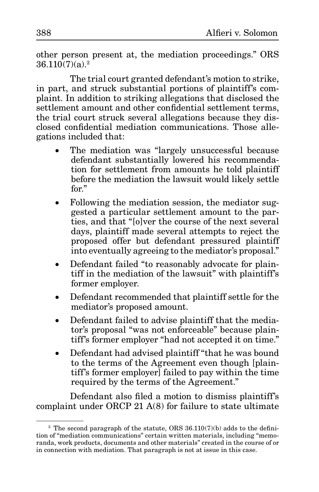other person present at, the mediation proceedings." ORS  $36.110(7)(a).<sup>2</sup>$ 

The trial court granted defendant's motion to strike, in part, and struck substantial portions of plaintiff's complaint. In addition to striking allegations that disclosed the settlement amount and other confidential settlement terms, the trial court struck several allegations because they disclosed confidential mediation communications. Those allegations included that:

- The mediation was "largely unsuccessful because defendant substantially lowered his recommendation for settlement from amounts he told plaintiff before the mediation the lawsuit would likely settle for."
- Following the mediation session, the mediator suggested a particular settlement amount to the parties, and that "[o]ver the course of the next several days, plaintiff made several attempts to reject the proposed offer but defendant pressured plaintiff into eventually agreeing to the mediator's proposal."
- Defendant failed "to reasonably advocate for plaintiff in the mediation of the lawsuit" with plaintiff's former employer.
- Defendant recommended that plaintiff settle for the mediator's proposed amount.
- Defendant failed to advise plaintiff that the mediator's proposal "was not enforceable" because plaintiff's former employer "had not accepted it on time."
- Defendant had advised plaintiff "that he was bound" to the terms of the Agreement even though [plaintiff's former employer] failed to pay within the time required by the terms of the Agreement."

Defendant also filed a motion to dismiss plaintiff's complaint under ORCP 21 A(8) for failure to state ultimate

 $2$  The second paragraph of the statute, ORS 36.110(7)(b) adds to the definition of "mediation communications" certain written materials, including "memoranda, work products, documents and other materials" created in the course of or in connection with mediation. That paragraph is not at issue in this case.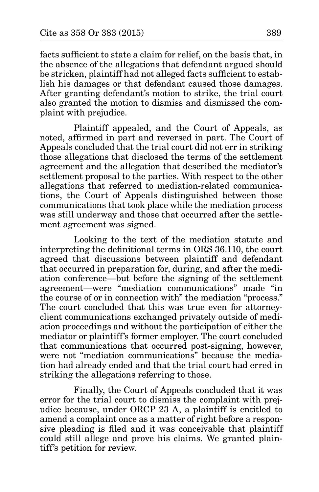facts sufficient to state a claim for relief, on the basis that, in the absence of the allegations that defendant argued should be stricken, plaintiff had not alleged facts sufficient to establish his damages or that defendant caused those damages. After granting defendant's motion to strike, the trial court also granted the motion to dismiss and dismissed the complaint with prejudice.

Plaintiff appealed, and the Court of Appeals, as noted, affirmed in part and reversed in part. The Court of Appeals concluded that the trial court did not err in striking those allegations that disclosed the terms of the settlement agreement and the allegation that described the mediator's settlement proposal to the parties. With respect to the other allegations that referred to mediation-related communications, the Court of Appeals distinguished between those communications that took place while the mediation process was still underway and those that occurred after the settlement agreement was signed.

Looking to the text of the mediation statute and interpreting the definitional terms in ORS 36.110, the court agreed that discussions between plaintiff and defendant that occurred in preparation for, during, and after the mediation conference—but before the signing of the settlement agreement—were "mediation communications" made "in the course of or in connection with" the mediation "process." The court concluded that this was true even for attorneyclient communications exchanged privately outside of mediation proceedings and without the participation of either the mediator or plaintiff's former employer. The court concluded that communications that occurred post-signing, however, were not "mediation communications" because the mediation had already ended and that the trial court had erred in striking the allegations referring to those.

Finally, the Court of Appeals concluded that it was error for the trial court to dismiss the complaint with prejudice because, under ORCP 23 A, a plaintiff is entitled to amend a complaint once as a matter of right before a responsive pleading is filed and it was conceivable that plaintiff could still allege and prove his claims. We granted plaintiff's petition for review.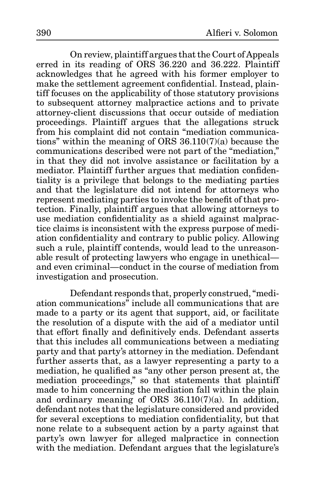On review, plaintiff argues that the Court of Appeals erred in its reading of ORS 36.220 and 36.222. Plaintiff acknowledges that he agreed with his former employer to make the settlement agreement confidential. Instead, plaintiff focuses on the applicability of those statutory provisions to subsequent attorney malpractice actions and to private attorney-client discussions that occur outside of mediation proceedings. Plaintiff argues that the allegations struck from his complaint did not contain "mediation communications" within the meaning of ORS 36.110(7)(a) because the communications described were not part of the "mediation," in that they did not involve assistance or facilitation by a mediator. Plaintiff further argues that mediation confidentiality is a privilege that belongs to the mediating parties and that the legislature did not intend for attorneys who represent mediating parties to invoke the benefit of that protection. Finally, plaintiff argues that allowing attorneys to use mediation confidentiality as a shield against malpractice claims is inconsistent with the express purpose of mediation confidentiality and contrary to public policy. Allowing such a rule, plaintiff contends, would lead to the unreasonable result of protecting lawyers who engage in unethical and even criminal—conduct in the course of mediation from investigation and prosecution.

Defendant responds that, properly construed, "mediation communications" include all communications that are made to a party or its agent that support, aid, or facilitate the resolution of a dispute with the aid of a mediator until that effort finally and definitively ends. Defendant asserts that this includes all communications between a mediating party and that party's attorney in the mediation. Defendant further asserts that, as a lawyer representing a party to a mediation, he qualified as "any other person present at, the mediation proceedings," so that statements that plaintiff made to him concerning the mediation fall within the plain and ordinary meaning of ORS  $36.110(7)(a)$ . In addition, defendant notes that the legislature considered and provided for several exceptions to mediation confidentiality, but that none relate to a subsequent action by a party against that party's own lawyer for alleged malpractice in connection with the mediation. Defendant argues that the legislature's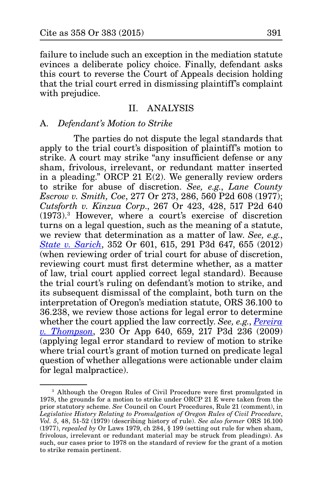failure to include such an exception in the mediation statute evinces a deliberate policy choice. Finally, defendant asks this court to reverse the Court of Appeals decision holding that the trial court erred in dismissing plaintiff's complaint with prejudice.

#### II. ANALYSIS

#### A*. Defendant's Motion to Strike*

The parties do not dispute the legal standards that apply to the trial court's disposition of plaintiff's motion to strike. A court may strike "any insufficient defense or any sham, frivolous, irrelevant, or redundant matter inserted in a pleading." ORCP 21  $E(2)$ . We generally review orders to strike for abuse of discretion. *See, e.g.*, *Lane County Escrow v. Smith, Coe*, 277 Or 273, 286, 560 P2d 608 (1977); *Cutsforth v. Kinzua Corp*., 267 Or 423, 428, 517 P2d 640 (1973).3 However, where a court's exercise of discretion turns on a legal question, such as the meaning of a statute, we review that determination as a matter of law. *See, e.g.*, *[State v. Sarich](http://www.publications.ojd.state.or.us/docs/S059928.pdf)*, 352 Or 601, 615, 291 P3d 647, 655 (2012) (when reviewing order of trial court for abuse of discretion, reviewing court must first determine whether, as a matter of law, trial court applied correct legal standard). Because the trial court's ruling on defendant's motion to strike, and its subsequent dismissal of the complaint, both turn on the interpretation of Oregon's mediation statute, ORS 36.100 to 36.238, we review those actions for legal error to determine whether the court applied the law correctly. *See, e.g.*, *[Pereira](http://www.publications.ojd.state.or.us/docs/A133677.htm)  [v. Thompson](http://www.publications.ojd.state.or.us/docs/A133677.htm)*, 230 Or App 640, 659, 217 P3d 236 (2009) (applying legal error standard to review of motion to strike where trial court's grant of motion turned on predicate legal question of whether allegations were actionable under claim for legal malpractice).

<sup>&</sup>lt;sup>3</sup> Although the Oregon Rules of Civil Procedure were first promulgated in 1978, the grounds for a motion to strike under ORCP 21 E were taken from the prior statutory scheme. *See* Council on Court Procedures, Rule 21 (comment), in *Legislative History Relating to Promulgation of Oregon Rules of Civil Procedure*, *Vol. 5*, 48, 51-52 (1979) (describing history of rule). *See also former* ORS 16.100 (1977), *repealed by* Or Laws 1979, ch 284, § 199 (setting out rule for when sham, frivolous, irrelevant or redundant material may be struck from pleadings). As such, our cases prior to 1978 on the standard of review for the grant of a motion to strike remain pertinent.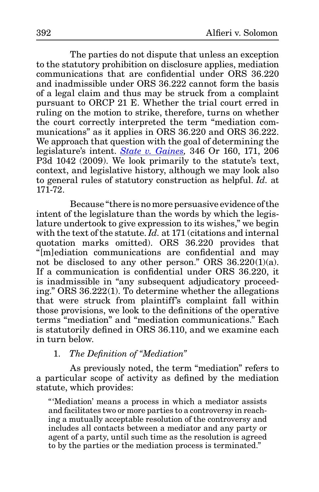The parties do not dispute that unless an exception to the statutory prohibition on disclosure applies, mediation communications that are confidential under ORS 36.220 and inadmissible under ORS 36.222 cannot form the basis of a legal claim and thus may be struck from a complaint pursuant to ORCP 21 E. Whether the trial court erred in ruling on the motion to strike, therefore, turns on whether the court correctly interpreted the term "mediation communications" as it applies in ORS 36.220 and ORS 36.222. We approach that question with the goal of determining the legislature's intent. *[State v. Gaines](http://www.publications.ojd.state.or.us/docs/S055031.htm),* 346 Or 160, 171, 206 P3d 1042 (2009). We look primarily to the statute's text, context, and legislative history, although we may look also to general rules of statutory construction as helpful. *Id.* at 171-72.

Because "there is no more persuasive evidence of the intent of the legislature than the words by which the legislature undertook to give expression to its wishes," we begin with the text of the statute. *Id.* at 171 (citations and internal quotation marks omitted). ORS 36.220 provides that "[m]ediation communications are confidential and may not be disclosed to any other person." ORS 36.220(1)(a). If a communication is confidential under ORS 36.220, it is inadmissible in "any subsequent adjudicatory proceeding." ORS 36.222(1). To determine whether the allegations that were struck from plaintiff's complaint fall within those provisions, we look to the definitions of the operative terms "mediation" and "mediation communications." Each is statutorily defined in ORS 36.110, and we examine each in turn below.

## 1. *The Definition of "Mediation"*

As previously noted, the term "mediation" refers to a particular scope of activity as defined by the mediation statute, which provides:

"'Mediation' means a process in which a mediator assists and facilitates two or more parties to a controversy in reaching a mutually acceptable resolution of the controversy and includes all contacts between a mediator and any party or agent of a party, until such time as the resolution is agreed to by the parties or the mediation process is terminated."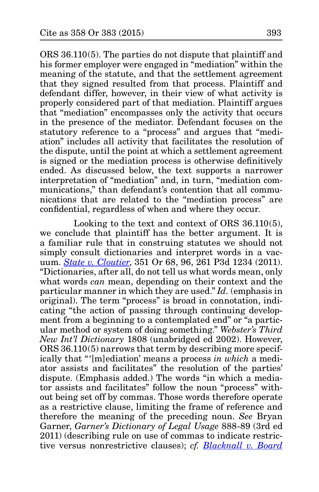ORS 36.110(5). The parties do not dispute that plaintiff and his former employer were engaged in "mediation" within the meaning of the statute, and that the settlement agreement that they signed resulted from that process. Plaintiff and defendant differ, however, in their view of what activity is properly considered part of that mediation. Plaintiff argues that "mediation" encompasses only the activity that occurs in the presence of the mediator. Defendant focuses on the statutory reference to a "process" and argues that "mediation" includes all activity that facilitates the resolution of the dispute, until the point at which a settlement agreement is signed or the mediation process is otherwise definitively ended. As discussed below, the text supports a narrower interpretation of "mediation" and, in turn, "mediation communications," than defendant's contention that all communications that are related to the "mediation process" are confidential, regardless of when and where they occur.

Looking to the text and context of ORS 36.110(5), we conclude that plaintiff has the better argument. It is a familiar rule that in construing statutes we should not simply consult dictionaries and interpret words in a vacuum. *[State v. Cloutier](http://www.publications.ojd.state.or.us/docs/S059039.pdf)*, 351 Or 68, 96, 261 P3d 1234 (2011). "Dictionaries, after all, do not tell us what words mean, only what words *can* mean, depending on their context and the particular manner in which they are used." *Id.* (emphasis in original). The term "process" is broad in connotation, indicating "the action of passing through continuing development from a beginning to a contemplated end" or "a particular method or system of doing something." *Webster's Third New Int'l Dictionary* 1808 (unabridged ed 2002). However, ORS 36.110(5) narrows that term by describing more specifically that "'[m]ediation' means a process *in which* a mediator assists and facilitates" the resolution of the parties' dispute. (Emphasis added.) The words "in which a mediator assists and facilitates" follow the noun "process" without being set off by commas. Those words therefore operate as a restrictive clause, limiting the frame of reference and therefore the meaning of the preceding noun. *See* Bryan Garner, *Garner's Dictionary of Legal Usage* 888-89 (3rd ed 2011) (describing rule on use of commas to indicate restrictive versus nonrestrictive clauses); *cf. [Blacknall v. Board](http://www.publications.ojd.state.or.us/docs/S056861.htm)*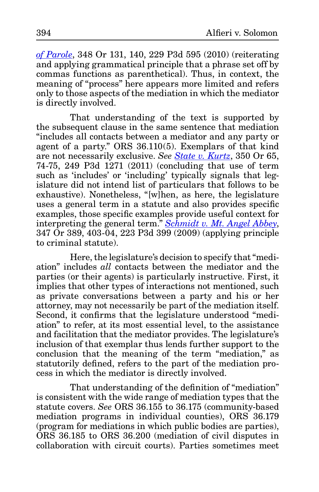*[of Parole](http://www.publications.ojd.state.or.us/docs/S056861.htm)*, 348 Or 131, 140, 229 P3d 595 (2010) (reiterating and applying grammatical principle that a phrase set off by commas functions as parenthetical). Thus, in context, the meaning of "process" here appears more limited and refers only to those aspects of the mediation in which the mediator is directly involved.

That understanding of the text is supported by the subsequent clause in the same sentence that mediation "includes all contacts between a mediator and any party or agent of a party." ORS 36.110(5). Exemplars of that kind are not necessarily exclusive. *See [State v. Kurtz](http://www.publications.ojd.state.or.us/docs/S058346.htm)*, 350 Or 65, 74-75, 249 P3d 1271 (2011) (concluding that use of term such as 'includes' or 'including' typically signals that legislature did not intend list of particulars that follows to be exhaustive). Nonetheless, "[w]hen, as here, the legislature uses a general term in a statute and also provides specific examples, those specific examples provide useful context for interpreting the general term." *[Schmidt v. Mt.](http://www.publications.ojd.state.or.us/docs/S056261.htm) Angel Abbey*, 347 Or 389, 403-04, 223 P3d 399 (2009) (applying principle to criminal statute).

Here, the legislature's decision to specify that "mediation" includes *all* contacts between the mediator and the parties (or their agents) is particularly instructive. First, it implies that other types of interactions not mentioned, such as private conversations between a party and his or her attorney, may not necessarily be part of the mediation itself. Second, it confirms that the legislature understood "mediation" to refer, at its most essential level, to the assistance and facilitation that the mediator provides. The legislature's inclusion of that exemplar thus lends further support to the conclusion that the meaning of the term "mediation," as statutorily defined, refers to the part of the mediation process in which the mediator is directly involved.

That understanding of the definition of "mediation" is consistent with the wide range of mediation types that the statute covers. *See* ORS 36.155 to 36.175 (community-based mediation programs in individual counties), ORS 36.179 (program for mediations in which public bodies are parties), ORS 36.185 to ORS 36.200 (mediation of civil disputes in collaboration with circuit courts). Parties sometimes meet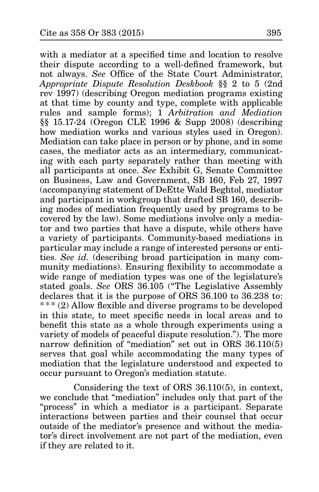with a mediator at a specified time and location to resolve their dispute according to a well-defined framework, but not always. *See* Office of the State Court Administrator, *Appropriate Dispute Resolution Deskbook* §§ 2 to 5 (2nd rev 1997) (describing Oregon mediation programs existing at that time by county and type, complete with applicable rules and sample forms); 1 *Arbitration and Mediation* §§ 15.17-24 (Oregon CLE 1996 & Supp 2008) (describing how mediation works and various styles used in Oregon). Mediation can take place in person or by phone, and in some cases, the mediator acts as an intermediary, communicating with each party separately rather than meeting with all participants at once. *See* Exhibit G, Senate Committee on Business, Law and Government, SB 160, Feb 27, 1997 (accompanying statement of DeEtte Wald Beghtol, mediator and participant in workgroup that drafted SB 160, describing modes of mediation frequently used by programs to be covered by the law). Some mediations involve only a mediator and two parties that have a dispute, while others have a variety of participants. Community-based mediations in particular may include a range of interested persons or entities. *See id.* (describing broad participation in many community mediations). Ensuring flexibility to accommodate a wide range of mediation types was one of the legislature's stated goals. *See* ORS 36.105 ("The Legislative Assembly declares that it is the purpose of ORS 36.100 to 36.238 to: \*\*\* (2) Allow flexible and diverse programs to be developed in this state, to meet specific needs in local areas and to benefit this state as a whole through experiments using a variety of models of peaceful dispute resolution."). The more narrow definition of "mediation" set out in ORS 36.110(5) serves that goal while accommodating the many types of mediation that the legislature understood and expected to occur pursuant to Oregon's mediation statute.

Considering the text of ORS 36.110(5), in context, we conclude that "mediation" includes only that part of the "process" in which a mediator is a participant. Separate interactions between parties and their counsel that occur outside of the mediator's presence and without the mediator's direct involvement are not part of the mediation, even if they are related to it.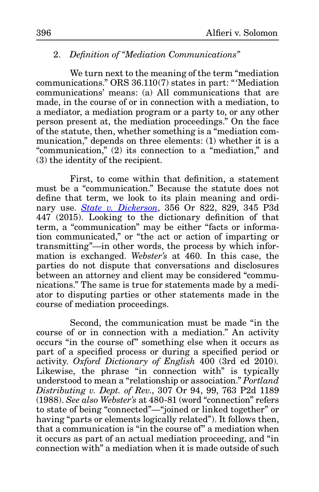## 2. *Definition of "Mediation Communications"*

We turn next to the meaning of the term "mediation communications." ORS 36.110(7) states in part: "'Mediation communications' means: (a) All communications that are made, in the course of or in connection with a mediation, to a mediator, a mediation program or a party to, or any other person present at, the mediation proceedings." On the face of the statute, then, whether something is a "mediation communication," depends on three elements: (1) whether it is a "communication," (2) its connection to a "mediation," and (3) the identity of the recipient.

First, to come within that definition, a statement must be a "communication." Because the statute does not define that term, we look to its plain meaning and ordinary use. *[State v. Dickerson](http://www.publications.ojd.state.or.us/docs/S062108.pdf)*, 356 Or 822, 829, 345 P3d 447 (2015). Looking to the dictionary definition of that term, a "communication" may be either "facts or information communicated," or "the act or action of imparting or transmitting"—in other words, the process by which information is exchanged. *Webster's* at 460. In this case, the parties do not dispute that conversations and disclosures between an attorney and client may be considered "communications." The same is true for statements made by a mediator to disputing parties or other statements made in the course of mediation proceedings.

Second, the communication must be made "in the course of or in connection with a mediation." An activity occurs "in the course of" something else when it occurs as part of a specified process or during a specified period or activity. *Oxford Dictionary of English* 400 (3rd ed 2010)*.* Likewise, the phrase "in connection with" is typically understood to mean a "relationship or association." *Portland Distributing v. Dept. of Rev.*, 307 Or 94, 99, 763 P2d 1189 (1988). *See also Webster's* at 480-81 (word "connection" refers to state of being "connected"—"joined or linked together" or having "parts or elements logically related"). It follows then, that a communication is "in the course of" a mediation when it occurs as part of an actual mediation proceeding, and "in connection with" a mediation when it is made outside of such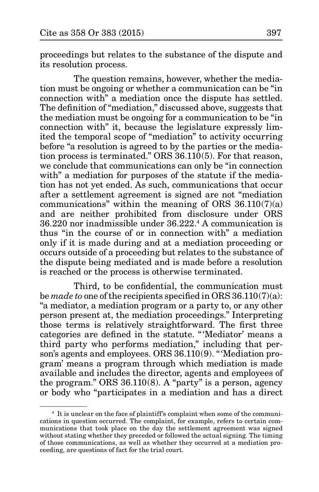proceedings but relates to the substance of the dispute and its resolution process.

The question remains, however, whether the mediation must be ongoing or whether a communication can be "in connection with" a mediation once the dispute has settled. The definition of "mediation," discussed above, suggests that the mediation must be ongoing for a communication to be "in connection with" it, because the legislature expressly limited the temporal scope of "mediation" to activity occurring before "a resolution is agreed to by the parties or the mediation process is terminated." ORS 36.110(5). For that reason, we conclude that communications can only be "in connection with" a mediation for purposes of the statute if the mediation has not yet ended. As such, communications that occur after a settlement agreement is signed are not "mediation communications" within the meaning of ORS  $36.110(7)(a)$ and are neither prohibited from disclosure under ORS 36.220 nor inadmissible under 36.222.4 A communication is thus "in the course of or in connection with" a mediation only if it is made during and at a mediation proceeding or occurs outside of a proceeding but relates to the substance of the dispute being mediated and is made before a resolution is reached or the process is otherwise terminated.

Third, to be confidential, the communication must be *made to* one of the recipients specified in ORS 36.110(7)(a): "a mediator, a mediation program or a party to, or any other person present at, the mediation proceedings." Interpreting those terms is relatively straightforward. The first three categories are defined in the statute. "'Mediator' means a third party who performs mediation," including that person's agents and employees. ORS 36.110(9). "'Mediation program' means a program through which mediation is made available and includes the director, agents and employees of the program." ORS 36.110(8). A "party" is a person, agency or body who "participates in a mediation and has a direct

<sup>4</sup> It is unclear on the face of plaintiff's complaint when some of the communications in question occurred. The complaint, for example, refers to certain communications that took place on the day the settlement agreement was signed without stating whether they preceded or followed the actual signing. The timing of those communications, as well as whether they occurred at a mediation proceeding, are questions of fact for the trial court.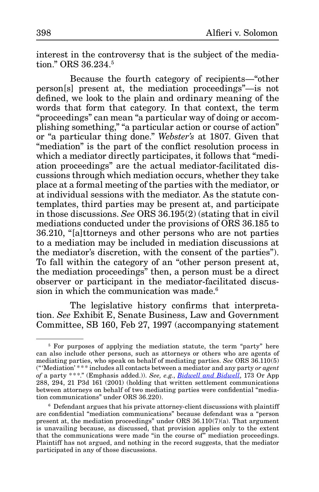interest in the controversy that is the subject of the mediation." ORS 36.234.5

Because the fourth category of recipients—"other person[s] present at, the mediation proceedings"—is not defined, we look to the plain and ordinary meaning of the words that form that category. In that context, the term "proceedings" can mean "a particular way of doing or accomplishing something," "a particular action or course of action" or "a particular thing done." *Webster's* at 1807. Given that "mediation" is the part of the conflict resolution process in which a mediator directly participates, it follows that "mediation proceedings" are the actual mediator-facilitated discussions through which mediation occurs, whether they take place at a formal meeting of the parties with the mediator, or at individual sessions with the mediator. As the statute contemplates, third parties may be present at, and participate in those discussions. *See* ORS 36.195(2) (stating that in civil mediations conducted under the provisions of ORS 36.185 to 36.210, "[a]ttorneys and other persons who are not parties to a mediation may be included in mediation discussions at the mediator's discretion, with the consent of the parties"). To fall within the category of an "other person present at, the mediation proceedings" then, a person must be a direct observer or participant in the mediator-facilitated discussion in which the communication was made.<sup>6</sup>

The legislative history confirms that interpretation. *See* Exhibit E, Senate Business, Law and Government Committee, SB 160, Feb 27, 1997 (accompanying statement

<sup>&</sup>lt;sup>5</sup> For purposes of applying the mediation statute, the term "party" here can also include other persons, such as attorneys or others who are agents of mediating parties, who speak on behalf of mediating parties. *See* ORS 36.110(5) ("'Mediation' \* \*\* includes all contacts between a mediator and any party *or agent of* a party \*\*\*." (Emphasis added.)). *See, e.g.*, *[Bidwell and Bidwell](http://www.publications.ojd.state.or.us/docs/A100737b.htm)*, 173 Or App 288, 294, 21 P3d 161 (2001) (holding that written settlement communications between attorneys on behalf of two mediating parties were confidential "mediation communications" under ORS 36.220).

<sup>6</sup> Defendant argues that his private attorney-client discussions with plaintiff are confidential "mediation communications" because defendant was a "person present at, the mediation proceedings" under ORS 36.110(7)(a). That argument is unavailing because, as discussed, that provision applies only to the extent that the communications were made "in the course of" mediation proceedings. Plaintiff has not argued, and nothing in the record suggests, that the mediator participated in any of those discussions.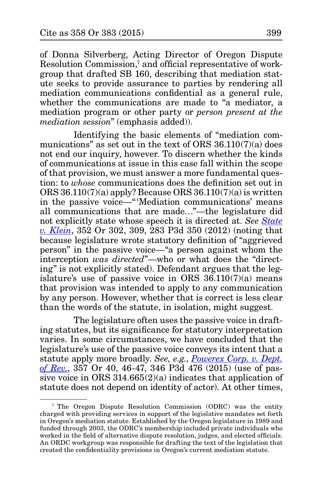of Donna Silverberg, Acting Director of Oregon Dispute Resolution Commission,<sup>7</sup> and official representative of workgroup that drafted SB 160, describing that mediation statute seeks to provide assurance to parties by rendering all mediation communications confidential as a general rule, whether the communications are made to "a mediator, a mediation program or other party or *person present at the mediation session*" (emphasis added)).

Identifying the basic elements of "mediation communications" as set out in the text of ORS 36.110(7)(a) does not end our inquiry, however. To discern whether the kinds of communications at issue in this case fall within the scope of that provision, we must answer a more fundamental question: to *whose* communications does the definition set out in ORS 36.110(7)(a) apply? Because ORS 36.110(7)(a) is written in the passive voice—"'Mediation communications' means all communications that are made…"—the legislature did not explicitly state whose speech it is directed at. *See [State](http://www.publications.ojd.state.or.us/docs/S059542.pdf)  [v. Klein](http://www.publications.ojd.state.or.us/docs/S059542.pdf)*, 352 Or 302, 309, 283 P3d 350 (2012) (noting that because legislature wrote statutory definition of "aggrieved person" in the passive voice—"a person against whom the interception *was directed*"—who or what does the "directing" is not explicitly stated). Defendant argues that the legislature's use of passive voice in ORS 36.110(7)(a) means that provision was intended to apply to any communication by any person. However, whether that is correct is less clear than the words of the statute, in isolation, might suggest.

The legislature often uses the passive voice in drafting statutes, but its significance for statutory interpretation varies. In some circumstances, we have concluded that the legislature's use of the passive voice conveys its intent that a statute apply more broadly. *See, e.g.*, *[Powerex Corp. v. Dept.](http://www.publications.ojd.state.or.us/docs/S060859.pdf) [of Rev.](http://www.publications.ojd.state.or.us/docs/S060859.pdf)*, 357 Or 40, 46-47, 346 P3d 476 (2015) (use of passive voice in ORS  $314.665(2)(a)$  indicates that application of statute does not depend on identity of actor). At other times,

<sup>7</sup> The Oregon Dispute Resolution Commission (ODRC) was the entity charged with providing services in support of the legislative mandates set forth in Oregon's mediation statute. Established by the Oregon legislature in 1989 and funded through 2003, the ODRC's membership included private individuals who worked in the field of alternative dispute resolution, judges, and elected officials. An ORDC workgroup was responsible for drafting the text of the legislation that created the confidentiality provisions in Oregon's current mediation statute.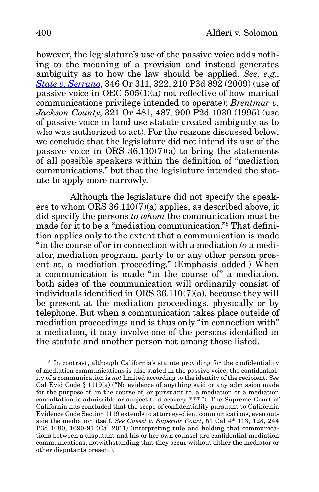however, the legislature's use of the passive voice adds nothing to the meaning of a provision and instead generates ambiguity as to how the law should be applied. *See, e.g.*, *[State v. Serrano](http://www.publications.ojd.state.or.us/docs/S056399.htm)*, 346 Or 311, 322, 210 P3d 892 (2009) (use of passive voice in OEC 505(1)(a) not reflective of how marital communications privilege intended to operate); *Brentmar v. Jackson County*, 321 Or 481, 487, 900 P2d 1030 (1995) (use of passive voice in land use statute created ambiguity as to who was authorized to act). For the reasons discussed below, we conclude that the legislature did not intend its use of the passive voice in ORS  $36.110(7)(a)$  to bring the statements of all possible speakers within the definition of "mediation communications," but that the legislature intended the statute to apply more narrowly.

Although the legislature did not specify the speakers to whom ORS  $36.110(7)(a)$  applies, as described above, it did specify the persons *to whom* the communication must be made for it to be a "mediation communication."8 That definition applies only to the extent that a communication is made "in the course of or in connection with a mediation *to* a mediator, mediation program, party to or any other person present at, a mediation proceeding." (Emphasis added.) When a communication is made "in the course of" a mediation, both sides of the communication will ordinarily consist of individuals identified in ORS 36.110(7)(a), because they will be present at the mediation proceedings, physically or by telephone. But when a communication takes place outside of mediation proceedings and is thus only "in connection with" a mediation, it may involve one of the persons identified in the statute and another person not among those listed.

<sup>8</sup> In contrast, although California's statute providing for the confidentiality of mediation communications is also stated in the passive voice, the confidentiality of a communication is *not* limited according to the identity of the recipient. *See*  Cal Evid Code  $\S$  1119(a) ("No evidence of anything said or any admission made for the purpose of, in the course of, or pursuant to, a mediation or a mediation consultation is admissible or subject to discovery  $***$ ."). The Supreme Court of California has concluded that the scope of confidentiality pursuant to California Evidence Code Section 1119 extends to attorney-client communications, even outside the mediation itself. *See Cassel v. Superior Court*, 51 Cal 4th 113, 128, 244 P3d 1080, 1090-91 (Cal 2011) (interpreting rule and holding that communications between a disputant and his or her own counsel are confidential mediation communications, notwithstanding that they occur without either the mediator or other disputants present).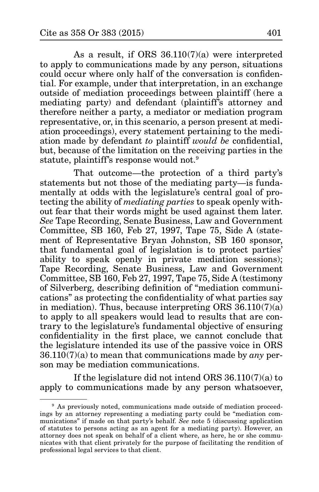As a result, if ORS 36.110(7)(a) were interpreted to apply to communications made by any person, situations could occur where only half of the conversation is confidential. For example, under that interpretation, in an exchange outside of mediation proceedings between plaintiff (here a mediating party) and defendant (plaintiff's attorney and therefore neither a party, a mediator or mediation program representative, or, in this scenario, a person present at mediation proceedings), every statement pertaining to the mediation made by defendant *to* plaintiff *would be* confidential, but, because of the limitation on the receiving parties in the statute, plaintiff's response would not.9

That outcome—the protection of a third party's statements but not those of the mediating party—is fundamentally at odds with the legislature's central goal of protecting the ability of *mediating parties* to speak openly without fear that their words might be used against them later. *See* Tape Recording, Senate Business, Law and Government Committee, SB 160, Feb 27, 1997, Tape 75, Side A (statement of Representative Bryan Johnston, SB 160 sponsor, that fundamental goal of legislation is to protect parties' ability to speak openly in private mediation sessions); Tape Recording, Senate Business, Law and Government Committee, SB 160, Feb 27, 1997, Tape 75, Side A (testimony of Silverberg, describing definition of "mediation communications" as protecting the confidentiality of what parties say in mediation). Thus, because interpreting ORS  $36.110(7)(a)$ to apply to all speakers would lead to results that are contrary to the legislature's fundamental objective of ensuring confidentiality in the first place, we cannot conclude that the legislature intended its use of the passive voice in ORS 36.110(7)(a) to mean that communications made by *any* person may be mediation communications.

If the legislature did not intend ORS 36.110(7)(a) to apply to communications made by any person whatsoever,

<sup>&</sup>lt;sup>9</sup> As previously noted, communications made outside of mediation proceedings by an attorney representing a mediating party could be "mediation communications" if made on that party's behalf. *See* note 5 (discussing application of statutes to persons acting as an agent for a mediating party). However, an attorney does not speak on behalf of a client where, as here, he or she communicates with that client privately for the purpose of facilitating the rendition of professional legal services to that client.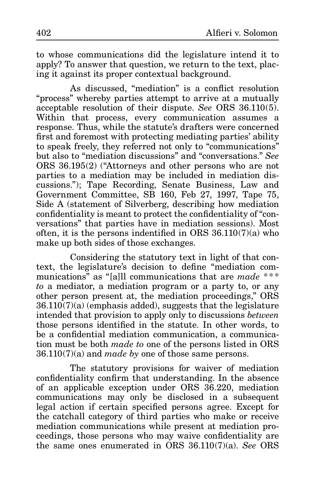to whose communications did the legislature intend it to apply? To answer that question, we return to the text, placing it against its proper contextual background.

As discussed, "mediation" is a conflict resolution "process" whereby parties attempt to arrive at a mutually acceptable resolution of their dispute. *See* ORS 36.110(5). Within that process, every communication assumes a response. Thus, while the statute's drafters were concerned first and foremost with protecting mediating parties' ability to speak freely, they referred not only to "communications" but also to "mediation discussions" and "conversations." *See* ORS 36.195(2) ("Attorneys and other persons who are not parties to a mediation may be included in mediation discussions."); Tape Recording, Senate Business, Law and Government Committee, SB 160, Feb 27, 1997, Tape 75, Side A (statement of Silverberg, describing how mediation confidentiality is meant to protect the confidentiality of "conversations" that parties have in mediation sessions). Most often, it is the persons indentified in ORS 36.110(7)(a) who make up both sides of those exchanges.

Considering the statutory text in light of that context, the legislature's decision to define "mediation communications" as "[a]ll communications that are *made* \*\*\* *to* a mediator, a mediation program or a party to, or any other person present at, the mediation proceedings," ORS  $36.110(7)(a)$  (emphasis added), suggests that the legislature intended that provision to apply only to discussions *between* those persons identified in the statute. In other words, to be a confidential mediation communication, a communication must be both *made to* one of the persons listed in ORS 36.110(7)(a) and *made by* one of those same persons.

The statutory provisions for waiver of mediation confidentiality confirm that understanding. In the absence of an applicable exception under ORS 36.220, mediation communications may only be disclosed in a subsequent legal action if certain specified persons agree. Except for the catchall category of third parties who make or receive mediation communications while present at mediation proceedings, those persons who may waive confidentiality are the same ones enumerated in ORS 36.110(7)(a). *See* ORS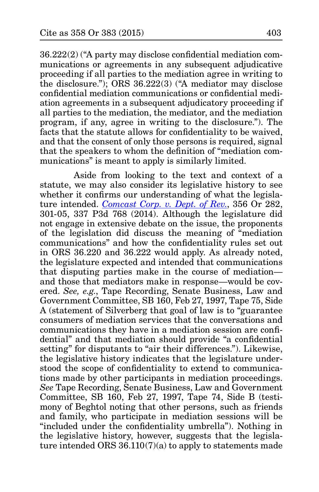36.222(2) ("A party may disclose confidential mediation communications or agreements in any subsequent adjudicative proceeding if all parties to the mediation agree in writing to the disclosure."); ORS 36.222(3) ("A mediator may disclose confidential mediation communications or confidential mediation agreements in a subsequent adjudicatory proceeding if all parties to the mediation, the mediator, and the mediation program, if any, agree in writing to the disclosure."). The facts that the statute allows for confidentiality to be waived, and that the consent of only those persons is required, signal that the speakers to whom the definition of "mediation communications" is meant to apply is similarly limited.

Aside from looking to the text and context of a statute, we may also consider its legislative history to see whether it confirms our understanding of what the legislature intended. *[Comcast Corp. v. Dept. of Rev.](http://www.publications.ojd.state.or.us/docs/S059764.pdf)*, 356 Or 282, 301-05, 337 P3d 768 (2014). Although the legislature did not engage in extensive debate on the issue, the proponents of the legislation did discuss the meaning of "mediation communications" and how the confidentiality rules set out in ORS 36.220 and 36.222 would apply. As already noted, the legislature expected and intended that communications that disputing parties make in the course of mediation and those that mediators make in response—would be covered. *See, e.g.*, Tape Recording, Senate Business, Law and Government Committee, SB 160, Feb 27, 1997, Tape 75, Side A (statement of Silverberg that goal of law is to "guarantee consumers of mediation services that the conversations and communications they have in a mediation session are confidential" and that mediation should provide "a confidential setting" for disputants to "air their differences."). Likewise, the legislative history indicates that the legislature understood the scope of confidentiality to extend to communications made by other participants in mediation proceedings. *See* Tape Recording, Senate Business, Law and Government Committee, SB 160, Feb 27, 1997, Tape 74, Side B (testimony of Beghtol noting that other persons, such as friends and family, who participate in mediation sessions will be "included under the confidentiality umbrella"). Nothing in the legislative history, however, suggests that the legislature intended ORS 36.110(7)(a) to apply to statements made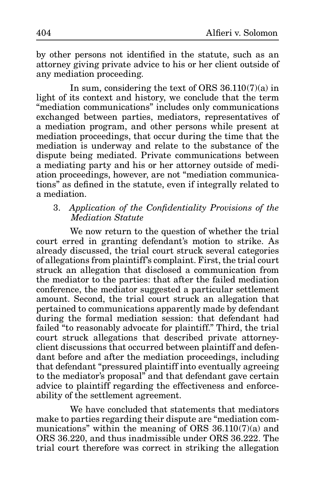by other persons not identified in the statute, such as an attorney giving private advice to his or her client outside of any mediation proceeding.

In sum, considering the text of ORS  $36.110(7)(a)$  in light of its context and history, we conclude that the term "mediation communications" includes only communications exchanged between parties, mediators, representatives of a mediation program, and other persons while present at mediation proceedings, that occur during the time that the mediation is underway and relate to the substance of the dispute being mediated. Private communications between a mediating party and his or her attorney outside of mediation proceedings, however, are not "mediation communications" as defined in the statute, even if integrally related to a mediation.

## 3. *Application of the Confidentiality Provisions of the Mediation Statute*

We now return to the question of whether the trial court erred in granting defendant's motion to strike. As already discussed, the trial court struck several categories of allegations from plaintiff's complaint. First, the trial court struck an allegation that disclosed a communication from the mediator to the parties: that after the failed mediation conference, the mediator suggested a particular settlement amount. Second, the trial court struck an allegation that pertained to communications apparently made by defendant during the formal mediation session: that defendant had failed "to reasonably advocate for plaintiff." Third, the trial court struck allegations that described private attorneyclient discussions that occurred between plaintiff and defendant before and after the mediation proceedings, including that defendant "pressured plaintiff into eventually agreeing to the mediator's proposal" and that defendant gave certain advice to plaintiff regarding the effectiveness and enforceability of the settlement agreement.

We have concluded that statements that mediators make to parties regarding their dispute are "mediation communications" within the meaning of ORS 36.110(7)(a) and ORS 36.220, and thus inadmissible under ORS 36.222. The trial court therefore was correct in striking the allegation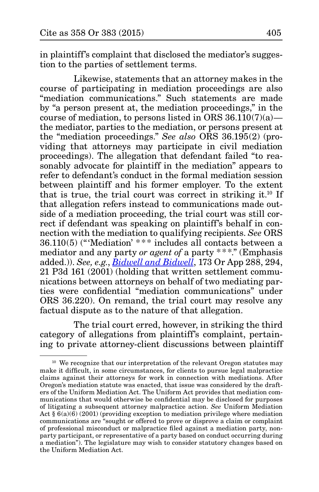in plaintiff's complaint that disclosed the mediator's suggestion to the parties of settlement terms.

Likewise, statements that an attorney makes in the course of participating in mediation proceedings are also "mediation communications." Such statements are made by "a person present at, the mediation proceedings," in the course of mediation, to persons listed in ORS  $36.110(7)(a)$  the mediator, parties to the mediation, or persons present at the "mediation proceedings." *See also* ORS 36.195(2) (providing that attorneys may participate in civil mediation proceedings). The allegation that defendant failed "to reasonably advocate for plaintiff in the mediation" appears to refer to defendant's conduct in the formal mediation session between plaintiff and his former employer. To the extent that is true, the trial court was correct in striking it.10 If that allegation refers instead to communications made outside of a mediation proceeding, the trial court was still correct if defendant was speaking on plaintiff's behalf in connection with the mediation to qualifying recipients. *See* ORS  $36.110(5)$  ("Mediation' \*\*\* includes all contacts between a mediator and any party *or agent of* a party \* \*\*." (Emphasis added.)). *See, e.g.*, *[Bidwell and Bidwell](http://www.publications.ojd.state.or.us/docs/A100737b.htm)*, 173 Or App 288, 294, 21 P3d 161 (2001) (holding that written settlement communications between attorneys on behalf of two mediating parties were confidential "mediation communications" under ORS 36.220). On remand, the trial court may resolve any factual dispute as to the nature of that allegation.

The trial court erred, however, in striking the third category of allegations from plaintiff's complaint, pertaining to private attorney-client discussions between plaintiff

 $10$  We recognize that our interpretation of the relevant Oregon statutes may make it difficult, in some circumstances, for clients to pursue legal malpractice claims against their attorneys for work in connection with mediations. After Oregon's mediation statute was enacted, that issue was considered by the drafters of the Uniform Mediation Act. The Uniform Act provides that mediation communications that would otherwise be confidential may be disclosed for purposes of litigating a subsequent attorney malpractice action. *See* Uniform Mediation Act  $\S 6(a)(6)$  (2001) (providing exception to mediation privilege where mediation communications are "sought or offered to prove or disprove a claim or complaint of professional misconduct or malpractice filed against a mediation party, nonparty participant, or representative of a party based on conduct occurring during a mediation"). The legislature may wish to consider statutory changes based on the Uniform Mediation Act.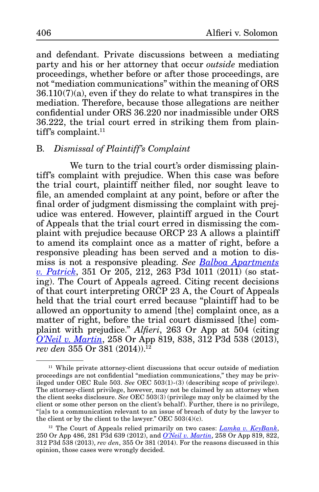and defendant. Private discussions between a mediating party and his or her attorney that occur *outside* mediation proceedings, whether before or after those proceedings, are not "mediation communications" within the meaning of ORS  $36.110(7)(a)$ , even if they do relate to what transpires in the mediation. Therefore, because those allegations are neither confidential under ORS 36.220 nor inadmissible under ORS 36.222, the trial court erred in striking them from plaintiff's complaint.<sup>11</sup>

## B*. Dismissal of Plaintiff's Complaint*

We turn to the trial court's order dismissing plaintiff's complaint with prejudice. When this case was before the trial court, plaintiff neither filed, nor sought leave to file, an amended complaint at any point, before or after the final order of judgment dismissing the complaint with prejudice was entered. However, plaintiff argued in the Court of Appeals that the trial court erred in dismissing the complaint with prejudice because ORCP 23 A allows a plaintiff to amend its complaint once as a matter of right, before a responsive pleading has been served and a motion to dismiss is not a responsive pleading. *See [Balboa Apartments](http://www.publications.ojd.state.or.us/docs/S059058.pdf) [v. Patrick](http://www.publications.ojd.state.or.us/docs/S059058.pdf)*, 351 Or 205, 212, 263 P3d 1011 (2011) (so stating). The Court of Appeals agreed. Citing recent decisions of that court interpreting ORCP 23 A, the Court of Appeals held that the trial court erred because "plaintiff had to be allowed an opportunity to amend [the] complaint once, as a matter of right, before the trial court dismissed [the] complaint with prejudice." *Alfieri*, 263 Or App at 504 (citing *[O'Neil v. Martin](http://www.publications.ojd.state.or.us/docs/A143429.pdf)*, 258 Or App 819, 838, 312 P3d 538 (2013), *rev den* 355 Or 381 (2014)).12

<sup>&</sup>lt;sup>11</sup> While private attorney-client discussions that occur outside of mediation proceedings are not confidential "mediation communications," they may be privileged under OEC Rule 503. *See* OEC 503(1)-(3) (describing scope of privilege). The attorney-client privilege, however, may not be claimed by an attorney when the client seeks disclosure. *See* OEC 503(3) (privilege may only be claimed by the client or some other person on the client's behalf). Further, there is no privilege, "[a]s to a communication relevant to an issue of breach of duty by the lawyer to the client or by the client to the lawyer." OEC  $503(4)(c)$ .

<sup>12</sup> The Court of Appeals relied primarily on two cases: *[Lamka v. KeyBank](http://www.publications.ojd.state.or.us/docs/A145829.pdf)*, 250 Or App 486, 281 P3d 639 (2012), and *[O'Neil v. Martin](http://www.publications.ojd.state.or.us/docs/A143429.pdf)*, 258 Or App 819, 822, 312 P3d 538 (2013), *rev den*, 355 Or 381 (2014). For the reasons discussed in this opinion, those cases were wrongly decided.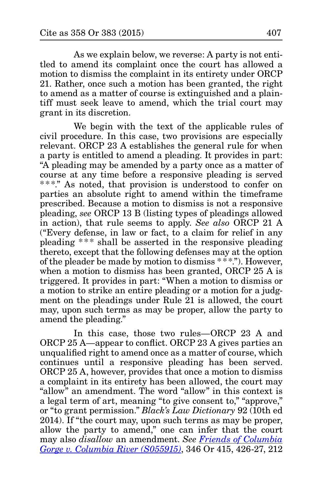As we explain below, we reverse: A party is not entitled to amend its complaint once the court has allowed a motion to dismiss the complaint in its entirety under ORCP 21. Rather, once such a motion has been granted, the right to amend as a matter of course is extinguished and a plaintiff must seek leave to amend, which the trial court may grant in its discretion.

We begin with the text of the applicable rules of civil procedure. In this case, two provisions are especially relevant. ORCP 23 A establishes the general rule for when a party is entitled to amend a pleading. It provides in part: "A pleading may be amended by a party once as a matter of course at any time before a responsive pleading is served \*\*\*." As noted, that provision is understood to confer on parties an absolute right to amend within the timeframe prescribed. Because a motion to dismiss is not a responsive pleading, *see* ORCP 13 B (listing types of pleadings allowed in action), that rule seems to apply. *See also* ORCP 21 A ("Every defense, in law or fact, to a claim for relief in any pleading \* \*\* shall be asserted in the responsive pleading thereto, except that the following defenses may at the option of the pleader be made by motion to dismiss \*\*\*."). However, when a motion to dismiss has been granted, ORCP 25 A is triggered. It provides in part: "When a motion to dismiss or a motion to strike an entire pleading or a motion for a judgment on the pleadings under Rule 21 is allowed, the court may, upon such terms as may be proper, allow the party to amend the pleading."

In this case, those two rules—ORCP 23 A and ORCP 25 A—appear to conflict. ORCP 23 A gives parties an unqualified right to amend once as a matter of course, which continues until a responsive pleading has been served. ORCP 25 A, however, provides that once a motion to dismiss a complaint in its entirety has been allowed, the court may "allow" an amendment. The word "allow" in this context is a legal term of art, meaning "to give consent to," "approve," or "to grant permission." *Black's Law Dictionary* 92 (10th ed 2014). If "the court may, upon such terms as may be proper, allow the party to amend," one can infer that the court may also *disallow* an amendment. *See [Friends of Columbia](http://www.publications.ojd.state.or.us/docs/S055915.htm) [Gorge v. Columbia River \(S055915\)](http://www.publications.ojd.state.or.us/docs/S055915.htm)*, 346 Or 415, 426-27, 212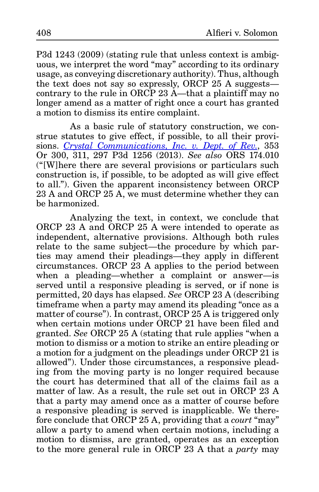P3d 1243 (2009) (stating rule that unless context is ambiguous, we interpret the word "may" according to its ordinary usage, as conveying discretionary authority). Thus, although the text does not say so expressly, ORCP 25 A suggests contrary to the rule in ORCP 23  $\AA$ —that a plaintiff may no longer amend as a matter of right once a court has granted a motion to dismiss its entire complaint.

As a basic rule of statutory construction, we construe statutes to give effect, if possible, to all their provisions. *[Crystal Communications, Inc. v. Dept. of Rev.](http://www.publications.ojd.state.or.us/docs/S059271.pdf)*, 353 Or 300, 311, 297 P3d 1256 (2013). *See also* ORS 174.010 ("[W]here there are several provisions or particulars such construction is, if possible, to be adopted as will give effect to all."). Given the apparent inconsistency between ORCP 23 A and ORCP 25 A, we must determine whether they can be harmonized.

Analyzing the text, in context, we conclude that ORCP 23 A and ORCP 25 A were intended to operate as independent, alternative provisions. Although both rules relate to the same subject—the procedure by which parties may amend their pleadings—they apply in different circumstances. ORCP 23 A applies to the period between when a pleading—whether a complaint or answer—is served until a responsive pleading is served, or if none is permitted, 20 days has elapsed. *See* ORCP 23 A (describing timeframe when a party may amend its pleading "once as a matter of course"). In contrast, ORCP 25 A is triggered only when certain motions under ORCP 21 have been filed and granted. *See* ORCP 25 A (stating that rule applies "when a motion to dismiss or a motion to strike an entire pleading or a motion for a judgment on the pleadings under ORCP 21 is allowed"). Under those circumstances, a responsive pleading from the moving party is no longer required because the court has determined that all of the claims fail as a matter of law. As a result, the rule set out in ORCP 23 A that a party may amend once as a matter of course before a responsive pleading is served is inapplicable. We therefore conclude that ORCP 25 A, providing that a *court* "may" allow a party to amend when certain motions, including a motion to dismiss, are granted, operates as an exception to the more general rule in ORCP 23 A that a *party* may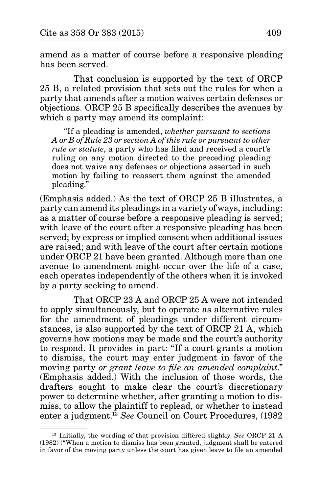amend as a matter of course before a responsive pleading has been served.

That conclusion is supported by the text of ORCP 25 B, a related provision that sets out the rules for when a party that amends after a motion waives certain defenses or objections. ORCP 25 B specifically describes the avenues by which a party may amend its complaint:

"If a pleading is amended, *whether pursuant to sections A or B of Rule 23 or section A of this rule or pursuant to other rule or statute*, a party who has filed and received a court's ruling on any motion directed to the preceding pleading does not waive any defenses or objections asserted in such motion by failing to reassert them against the amended pleading."

(Emphasis added.) As the text of ORCP 25 B illustrates, a party can amend its pleadings in a variety of ways, including: as a matter of course before a responsive pleading is served; with leave of the court after a responsive pleading has been served; by express or implied consent when additional issues are raised; and with leave of the court after certain motions under ORCP 21 have been granted. Although more than one avenue to amendment might occur over the life of a case, each operates independently of the others when it is invoked by a party seeking to amend.

That ORCP 23 A and ORCP 25 A were not intended to apply simultaneously, but to operate as alternative rules for the amendment of pleadings under different circumstances, is also supported by the text of ORCP 21 A, which governs how motions may be made and the court's authority to respond. It provides in part: "If a court grants a motion to dismiss, the court may enter judgment in favor of the moving party *or grant leave to file an amended complaint*." (Emphasis added.) With the inclusion of those words, the drafters sought to make clear the court's discretionary power to determine whether, after granting a motion to dismiss, to allow the plaintiff to replead, or whether to instead enter a judgment.13 *See* Council on Court Procedures, (1982

<sup>13</sup> Initially, the wording of that provision differed slightly. *See* ORCP 21 A (1982) ("When a motion to dismiss has been granted, judgment shall be entered in favor of the moving party unless the court has given leave to file an amended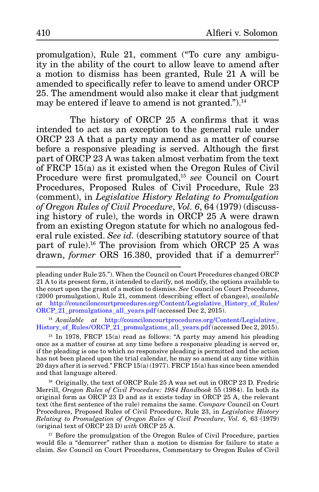promulgation), Rule 21, comment ("To cure any ambiguity in the ability of the court to allow leave to amend after a motion to dismiss has been granted, Rule 21 A will be amended to specifically refer to leave to amend under ORCP 25. The amendment would also make it clear that judgment may be entered if leave to amend is not granted.").14

The history of ORCP 25 A confirms that it was intended to act as an exception to the general rule under ORCP 23 A that a party may amend as a matter of course before a responsive pleading is served. Although the first part of ORCP 23 A was taken almost verbatim from the text of FRCP 15(a) as it existed when the Oregon Rules of Civil Procedure were first promulgated,15 *see* Council on Court Procedures, Proposed Rules of Civil Procedure, Rule 23 (comment), in *Legislative History Relating to Promulgation of Oregon Rules of Civil Procedure*, *Vol. 6*, 64 (1979) (discussing history of rule), the words in ORCP 25 A were drawn from an existing Oregon statute for which no analogous federal rule existed. *See id.* (describing statutory source of that part of rule).16 The provision from which ORCP 25 A was drawn, *former* ORS 16.380, provided that if a demurrer<sup>17</sup>

<sup>14</sup> *Available at http://counciloncourtprocedures.org/Content/Legislative* [History\\_of\\_Rules/ORCP\\_21\\_promulgations\\_all\\_years.pdf](http://counciloncourtprocedures.org/Content/Legislative_History_of_Rules/ORCP_21_promulgations_all_years.pdf) (accessed Dec 2, 2015).

 $15$  In 1978, FRCP 15(a) read as follows: "A party may amend his pleading once as a matter of course at any time before a responsive pleading is served or, if the pleading is one to which no responsive pleading is permitted and the action has not been placed upon the trial calendar, he may so amend at any time within 20 days after it is served." FRCP 15(a) (1977). FRCP 15(a) has since been amended and that language altered.

<sup>16</sup> Originally, the text of ORCP Rule 25 A was set out in ORCP 23 D. Fredric Merrill, *Oregon Rules of Civil Procedure: 1984 Handbook* 55 (1984). In both its original form as ORCP 23 D and as it exists today in ORCP 25 A, the relevant text (the first sentence of the rule) remains the same. *Compare* Council on Court Procedures, Proposed Rules of Civil Procedure, Rule 23, in *Legislative History Relating to Promulgation of Oregon Rules of Civil Procedure*, *Vol. 6*, 63 (1979) (original text of ORCP 23 D) *with* ORCP 25 A.

<sup>17</sup> Before the promulgation of the Oregon Rules of Civil Procedure, parties would file a "demurrer" rather than a motion to dismiss for failure to state a claim. *See* Council on Court Procedures, Commentary to Oregon Rules of Civil

pleading under Rule 25."). When the Council on Court Procedures changed ORCP 21 A to its present form, it intended to clarify, not modify, the options available to the court upon the grant of a motion to dismiss. *See* Council on Court Procedures, (2000 promulgation), Rule 21, comment (describing effect of changes), *available at* [http://counciloncourtprocedures.org/Content/Legislative\\_History\\_of\\_Rules/](http://counciloncourtprocedures.org/Content/Legislative_History_of_Rules/ORCP_21_promulgations_all_years.pdf) [ORCP\\_21\\_promulgations\\_all\\_years.pdf](http://counciloncourtprocedures.org/Content/Legislative_History_of_Rules/ORCP_21_promulgations_all_years.pdf) (accessed Dec 2, 2015).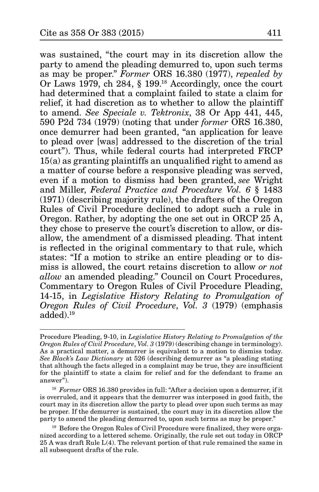was sustained, "the court may in its discretion allow the party to amend the pleading demurred to, upon such terms as may be proper." *Former* ORS 16.380 (1977), *repealed by*  Or Laws 1979, ch 284, § 199.18 Accordingly, once the court had determined that a complaint failed to state a claim for relief, it had discretion as to whether to allow the plaintiff to amend. *See Speciale v. Tektronix*, 38 Or App 441, 445, 590 P2d 734 (1979) (noting that under *former* ORS 16.380, once demurrer had been granted, "an application for leave to plead over [was] addressed to the discretion of the trial court"). Thus, while federal courts had interpreted FRCP 15(a) as granting plaintiffs an unqualified right to amend as a matter of course before a responsive pleading was served, even if a motion to dismiss had been granted, *see* Wright and Miller, *Federal Practice and Procedure Vol. 6* § 1483 (1971) (describing majority rule), the drafters of the Oregon Rules of Civil Procedure declined to adopt such a rule in Oregon. Rather, by adopting the one set out in ORCP 25 A, they chose to preserve the court's discretion to allow, or disallow, the amendment of a dismissed pleading. That intent is reflected in the original commentary to that rule, which states: "If a motion to strike an entire pleading or to dismiss is allowed, the court retains discretion to allow *or not allow* an amended pleading." Council on Court Procedures, Commentary to Oregon Rules of Civil Procedure Pleading, 14-15, in *Legislative History Relating to Promulgation of Oregon Rules of Civil Procedure*, *Vol. 3* (1979) (emphasis added).19

Procedure Pleading, 9-10, in *Legislative History Relating to Promulgation of the Oregon Rules of Civil Procedure*, *Vol. 3* (1979) (describing change in terminology). As a practical matter, a demurrer is equivalent to a motion to dismiss today. *See Black's Law Dictionary* at 526 (describing demurrer as "a pleading stating that although the facts alleged in a complaint may be true, they are insufficient for the plaintiff to state a claim for relief and for the defendant to frame an answer").

<sup>&</sup>lt;sup>18</sup> *Former* ORS 16.380 provides in full: "After a decision upon a demurrer, if it is overruled, and it appears that the demurrer was interposed in good faith, the court may in its discretion allow the party to plead over upon such terms as may be proper. If the demurrer is sustained, the court may in its discretion allow the party to amend the pleading demurred to, upon such terms as may be proper."

<sup>&</sup>lt;sup>19</sup> Before the Oregon Rules of Civil Procedure were finalized, they were organized according to a lettered scheme. Originally, the rule set out today in ORCP 25 A was draft Rule L(4). The relevant portion of that rule remained the same in all subsequent drafts of the rule.